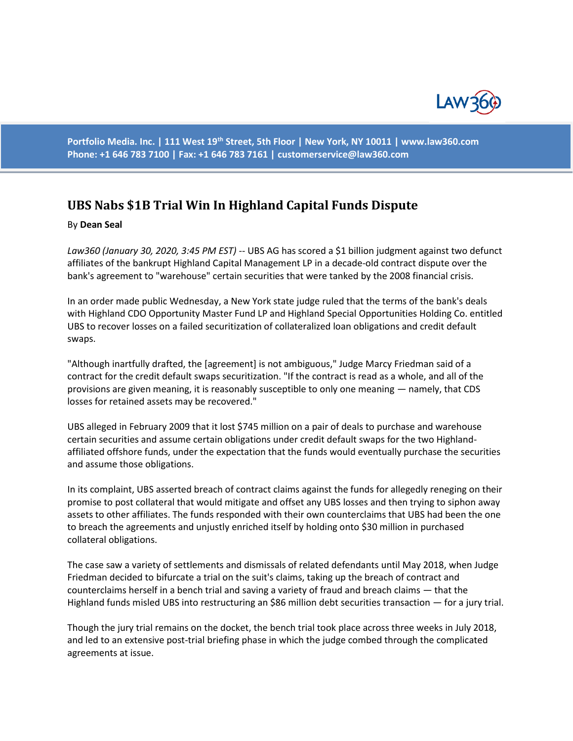

**Portfolio Media. Inc. | 111 West 19th Street, 5th Floor | New York, NY 10011 | www.law360.com Phone: +1 646 783 7100 | Fax: +1 646 783 7161 | [customerservice@law360.com](mailto:customerservice@law360.com)**

## **UBS Nabs \$1B Trial Win In Highland Capital Funds Dispute**

## By **Dean Seal**

*Law360 (January 30, 2020, 3:45 PM EST)* -- UBS AG has scored a \$1 billion judgment against two defunct affiliates of the bankrupt Highland Capital Management LP in a decade-old contract dispute over the bank's agreement to "warehouse" certain securities that were tanked by the 2008 financial crisis.

In an order made public Wednesday, a New York state judge ruled that the terms of the bank's deals with Highland CDO Opportunity Master Fund LP and Highland Special Opportunities Holding Co. entitled UBS to recover losses on a failed securitization of collateralized loan obligations and credit default swaps.

"Although inartfully drafted, the [agreement] is not ambiguous," Judge Marcy Friedman said of a contract for the credit default swaps securitization. "If the contract is read as a whole, and all of the provisions are given meaning, it is reasonably susceptible to only one meaning — namely, that CDS losses for retained assets may be recovered."

UBS alleged in February 2009 that it lost \$745 million on a pair of deals to purchase and warehouse certain securities and assume certain obligations under credit default swaps for the two Highlandaffiliated offshore funds, under the expectation that the funds would eventually purchase the securities and assume those obligations.

In its complaint, UBS asserted breach of contract claims against the funds for allegedly reneging on their promise to post collateral that would mitigate and offset any UBS losses and then trying to siphon away assets to other affiliates. The funds responded with their own counterclaims that UBS had been the one to breach the agreements and unjustly enriched itself by holding onto \$30 million in purchased collateral obligations.

The case saw a variety of settlements and dismissals of related defendants until May 2018, when Judge Friedman decided to bifurcate a trial on the suit's claims, taking up the breach of contract and counterclaims herself in a bench trial and saving a variety of fraud and breach claims — that the Highland funds misled UBS into restructuring an \$86 million debt securities transaction — for a jury trial.

Though the jury trial remains on the docket, the bench trial took place across three weeks in July 2018, and led to an extensive post-trial briefing phase in which the judge combed through the complicated agreements at issue.